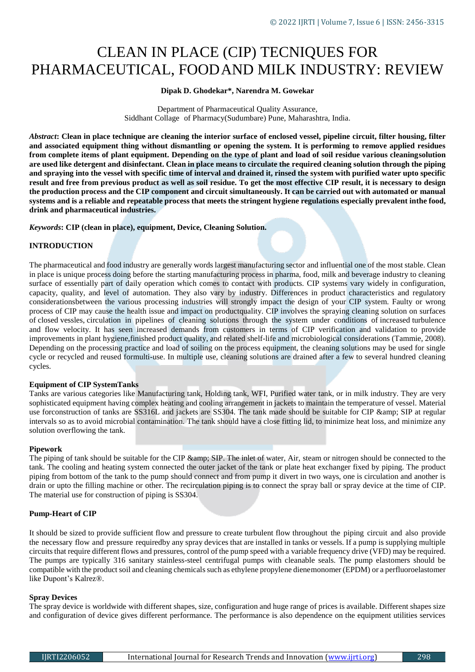# CLEAN IN PLACE (CIP) TECNIQUES FOR PHARMACEUTICAL, FOODAND MILK INDUSTRY: REVIEW

# **Dipak D. Ghodekar\*, Narendra M. Gowekar**

Department of Pharmaceutical Quality Assurance, Siddhant Collage of Pharmacy(Sudumbare) Pune, Maharashtra, India.

*Abstract***: Clean in place technique are cleaning the interior surface of enclosed vessel, pipeline circuit, filter housing, filter and associated equipment thing without dismantling or opening the system. It is performing to remove applied residues from complete items of plant equipment. Depending on the type of plant and load of soil residue various cleaningsolution are used like detergent and disinfectant. Clean in place means to circulate the required cleaning solution through the piping and spraying into the vessel with specific time of interval and drained it, rinsed the system with purified water upto specific result and free from previous product as well as soil residue. To get the most effective CIP result, it is necessary to design the production process and the CIP component and circuit simultaneously. It can be carried out with automated or manual systems and is a reliable and repeatable process that meets the stringent hygiene regulations especially prevalent inthe food, drink and pharmaceutical industries.**

*Keywords***: CIP (clean in place), equipment, Device, Cleaning Solution.**

# **INTRODUCTION**

The pharmaceutical and food industry are generally words largest manufacturing sector and influential one of the most stable. Clean in place is unique process doing before the starting manufacturing process in pharma, food, milk and beverage industry to cleaning surface of essentially part of daily operation which comes to contact with products. CIP systems vary widely in configuration, capacity, quality, and level of automation. They also vary by industry. Differences in product characteristics and regulatory considerationsbetween the various processing industries will strongly impact the design of your CIP system. Faulty or wrong process of CIP may cause the health issue and impact on productquality. CIP involves the spraying cleaning solution on surfaces of closed vessles, circulation in pipelines of cleaning solutions through the system under conditions of increased turbulence and flow velocity. It has seen increased demands from customers in terms of CIP verification and validation to provide improvements in plant hygiene,finished product quality, and related shelf-life and microbiological considerations (Tammie, 2008). Depending on the processing practice and load of soiling on the process equipment, the cleaning solutions may be used for single cycle or recycled and reused formulti-use. In multiple use, cleaning solutions are drained after a few to several hundred cleaning cycles.

#### **Equipment of CIP SystemTanks**

Tanks are various categories like Manufacturing tank, Holding tank, WFI, Purified water tank, or in milk industry. They are very sophisticated equipment having complex heating and cooling arrangement in jackets to maintain the temperature of vessel. Material use forconstruction of tanks are SS316L and jackets are SS304. The tank made should be suitable for CIP & amp; SIP at regular intervals so as to avoid microbial contamination. The tank should have a close fitting lid, to minimize heat loss, and minimize any solution overflowing the tank.

#### **Pipework**

The piping of tank should be suitable for the CIP & amp; SIP. The inlet of water, Air, steam or nitrogen should be connected to the tank. The cooling and heating system connected the outer jacket of the tank or plate heat exchanger fixed by piping. The product piping from bottom of the tank to the pump should connect and from pump it divert in two ways, one is circulation and another is drain or upto the filling machine or other. The recirculation piping is to connect the spray ball or spray device at the time of CIP. The material use for construction of piping is SS304.

#### **Pump-Heart of CIP**

It should be sized to provide sufficient flow and pressure to create turbulent flow throughout the piping circuit and also provide the necessary flow and pressure requiredby any spray devices that are installed in tanks or vessels. If a pump is supplying multiple circuits that require different flows and pressures, control of the pump speed with a variable frequency drive (VFD) may be required. The pumps are typically 316 sanitary stainless-steel centrifugal pumps with cleanable seals. The pump elastomers should be compatible with the product soil and cleaning chemicals such as ethylene propylene dienemonomer (EPDM) or a perfluoroelastomer like Dupont's Kalrez®.

#### **Spray Devices**

The spray device is worldwide with different shapes, size, configuration and huge range of prices is available. Different shapes size and configuration of device gives different performance. The performance is also dependence on the equipment utilities services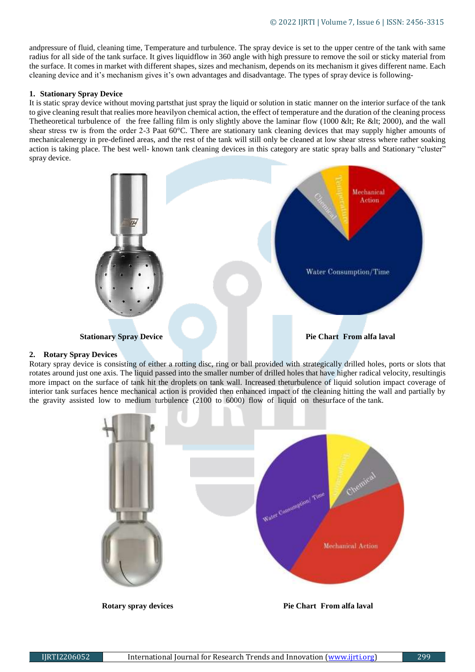andpressure of fluid, cleaning time, Temperature and turbulence. The spray device is set to the upper centre of the tank with same radius for all side of the tank surface. It gives liquidflow in 360 angle with high pressure to remove the soil or sticky material from the surface. It comes in market with different shapes, sizes and mechanism, depends on its mechanism it gives different name. Each cleaning device and it's mechanism gives it's own advantages and disadvantage. The types of spray device is following-

#### **1. Stationary Spray Device**

It is static spray device without moving partsthat just spray the liquid or solution in static manner on the interior surface of the tank to give cleaning result that realies more heavilyon chemical action, the effect of temperature and the duration of the cleaning process Thetheoretical turbulence of the free falling film is only slightly above the laminar flow (1000 &It; Re &It; 2000), and the wall shear stress τw is from the order 2-3 Paat 60°C. There are stationary tank cleaning devices that may supply higher amounts of mechanicalenergy in pre-defined areas, and the rest of the tank will still only be cleaned at low shear stress where rather soaking action is taking place. The best well- known tank cleaning devices in this category are static spray balls and Stationary "cluster" spray device.



# **2. Rotary Spray Devices**

Rotary spray device is consisting of either a rotting disc, ring or ball provided with strategically drilled holes, ports or slots that rotates around just one axis. The liquid passed into the smaller number of drilled holes that have higher radical velocity, resultingis more impact on the surface of tank hit the droplets on tank wall. Increased theturbulence of liquid solution impact coverage of interior tank surfaces hence mechanical action is provided then enhanced impact of the cleaning hitting the wall and partially by the gravity assisted low to medium turbulence (2100 to 6000) flow of liquid on thesurface of the tank.

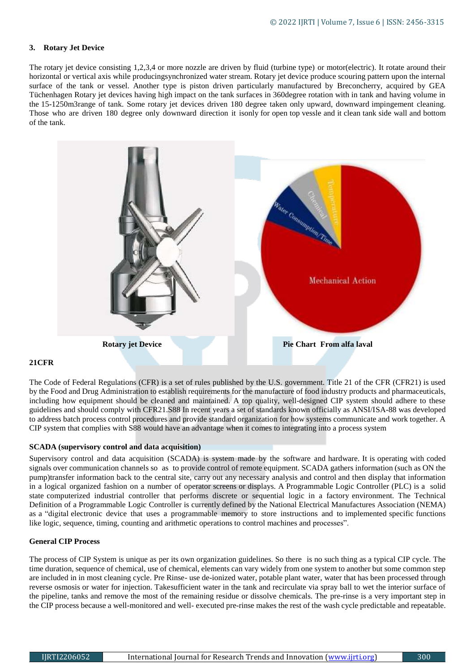# **3. Rotary Jet Device**

The rotary jet device consisting 1,2,3,4 or more nozzle are driven by fluid (turbine type) or motor(electric). It rotate around their horizontal or vertical axis while producingsynchronized water stream. Rotary jet device produce scouring pattern upon the internal surface of the tank or vessel. Another type is piston driven particularly manufactured by Breconcherry, acquired by GEA Tüchenhagen Rotary jet devices having high impact on the tank surfaces in 360degree rotation with in tank and having volume in the 15-1250m3range of tank. Some rotary jet devices driven 180 degree taken only upward, downward impingement cleaning. Those who are driven 180 degree only downward direction it isonly for open top vessle and it clean tank side wall and bottom of the tank.



# **21CFR**

The Code of Federal Regulations (CFR) is a set of rules published by the U.S. government. Title 21 of the CFR (CFR21) is used by the Food and Drug Administration to establish requirements for the manufacture of food industry products and pharmaceuticals, including how equipment should be cleaned and maintained. A top quality, well-designed CIP system should adhere to these guidelines and should comply with CFR21.S88 In recent years a set of standards known officially as ANSI/ISA-88 was developed to address batch process control procedures and provide standard organization for how systems communicate and work together. A CIP system that complies with S88 would have an advantage when it comes to integrating into a process system

# **SCADA (supervisory control and data acquisition)**

Supervisory control and data acquisition (SCADA) is system made by the software and hardware. It is operating with coded signals over communication channels so as to provide control of remote equipment. SCADA gathers information (such as ON the pump)transfer information back to the central site, carry out any necessary analysis and control and then display that information in a logical organized fashion on a number of operator screens or displays. A Programmable Logic Controller (PLC) is a solid state computerized industrial controller that performs discrete or sequential logic in a factory environment. The Technical Definition of a Programmable Logic Controller is currently defined by the National Electrical Manufactures Association (NEMA) as a "digital electronic device that uses a programmable memory to store instructions and to implemented specific functions like logic, sequence, timing, counting and arithmetic operations to control machines and processes".

# **General CIP Process**

The process of CIP System is unique as per its own organization guidelines. So there is no such thing as a typical CIP cycle. The time duration, sequence of chemical, use of chemical, elements can vary widely from one system to another but some common step are included in in most cleaning cycle. Pre Rinse- use de-ionized water, potable plant water, water that has been processed through reverse osmosis or water for injection. Takesufficient water in the tank and recirculate via spray ball to wet the interior surface of the pipeline, tanks and remove the most of the remaining residue or dissolve chemicals. The pre-rinse is a very important step in the CIP process because a well-monitored and well- executed pre-rinse makes the rest of the wash cycle predictable and repeatable.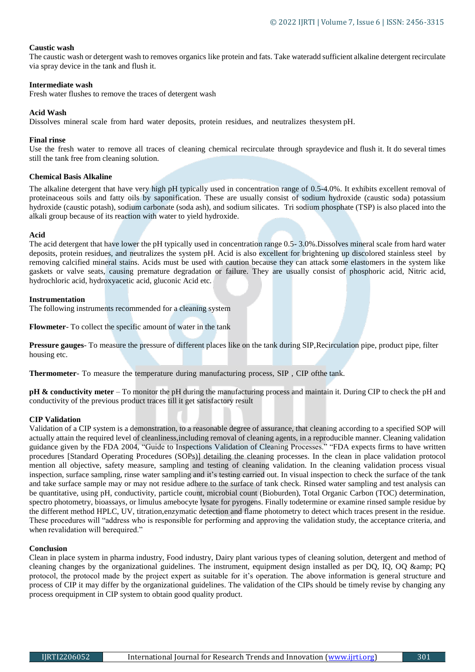## **Caustic wash**

The caustic wash or detergent wash to removes organics like protein and fats. Take wateradd sufficient alkaline detergent recirculate via spray device in the tank and flush it.

## **Intermediate wash**

Fresh water flushes to remove the traces of detergent wash

# **Acid Wash**

Dissolves mineral scale from hard water deposits, protein residues, and neutralizes thesystem pH.

#### **Final rinse**

Use the fresh water to remove all traces of cleaning chemical recirculate through spraydevice and flush it. It do several times still the tank free from cleaning solution.

#### **Chemical Basis Alkaline**

The alkaline detergent that have very high pH typically used in concentration range of 0.5-4.0%. It exhibits excellent removal of proteinaceous soils and fatty oils by saponification. These are usually consist of sodium hydroxide (caustic soda) potassium hydroxide (caustic potash), sodium carbonate (soda ash), and sodium silicates. Tri sodium phosphate (TSP) is also placed into the alkali group because of its reaction with water to yield hydroxide.

#### **Acid**

The acid detergent that have lower the pH typically used in concentration range 0.5- 3.0%.Dissolves mineral scale from hard water deposits, protein residues, and neutralizes the system pH. Acid is also excellent for brightening up discolored stainless steel by removing calcified mineral stains. Acids must be used with caution because they can attack some elastomers in the system like gaskets or valve seats, causing premature degradation or failure. They are usually consist of phosphoric acid, Nitric acid, hydrochloric acid, hydroxyacetic acid, gluconic Acid etc.

#### **Instrumentation**

The following instruments recommended for a cleaning system

**Flowmeter**- To collect the specific amount of water in the tank

**Pressure gauges**- To measure the pressure of different places like on the tank during SIP,Recirculation pipe, product pipe, filter housing etc.

**Thermometer**- To measure the temperature during manufacturing process, SIP , CIP ofthe tank.

**pH & conductivity meter** – To monitor the pH during the manufacturing process and maintain it. During CIP to check the pH and conductivity of the previous product traces till it get satisfactory result

# **CIP Validation**

Validation of a CIP system is a demonstration, to a reasonable degree of assurance, that cleaning according to a specified SOP will actually attain the required level of cleanliness,including removal of cleaning agents, in a reproducible manner. Cleaning validation guidance given by the FDA 2004, "Guide to Inspections Validation of Cleaning Processes." "FDA expects firms to have written procedures [Standard Operating Procedures (SOPs)] detailing the cleaning processes. In the clean in place validation protocol mention all objective, safety measure, sampling and testing of cleaning validation. In the cleaning validation process visual inspection, surface sampling, rinse water sampling and it's testing carried out. In visual inspection to check the surface of the tank and take surface sample may or may not residue adhere to the surface of tank check. Rinsed water sampling and test analysis can be quantitative, using pH, conductivity, particle count, microbial count (Bioburden), Total Organic Carbon (TOC) determination, spectro photometry, bioassays, or limulus amebocyte lysate for pyrogens. Finally todetermine or examine rinsed sample residue by the different method HPLC, UV, titration,enzymatic detection and flame photometry to detect which traces present in the residue. These procedures will "address who is responsible for performing and approving the validation study, the acceptance criteria, and when revalidation will berequired."

# **Conclusion**

Clean in place system in pharma industry, Food industry, Dairy plant various types of cleaning solution, detergent and method of cleaning changes by the organizational guidelines. The instrument, equipment design installed as per  $DQ$ ,  $IQ$ ,  $OQ$   $\&$  amp;  $PQ$ protocol, the protocol made by the project expert as suitable for it's operation. The above information is general structure and process of CIP it may differ by the organizational guidelines. The validation of the CIPs should be timely revise by changing any process orequipment in CIP system to obtain good quality product.